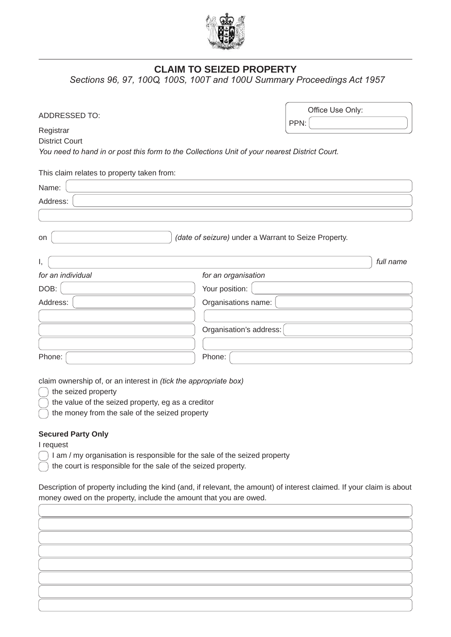

## **CLAIM TO SEIZED PROPERTY**

*Sections 96, 97, 100Q, 100S, 100T and 100U Summary Proceedings Act 1957*

| ADDRESSED TO:                                                                                 | Office Use Only:        |      |           |
|-----------------------------------------------------------------------------------------------|-------------------------|------|-----------|
|                                                                                               |                         | PPN: |           |
| Registrar                                                                                     |                         |      |           |
| <b>District Court</b>                                                                         |                         |      |           |
| You need to hand in or post this form to the Collections Unit of your nearest District Court. |                         |      |           |
| This claim relates to property taken from:                                                    |                         |      |           |
| Name:                                                                                         |                         |      |           |
| Address:                                                                                      |                         |      |           |
|                                                                                               |                         |      |           |
|                                                                                               |                         |      |           |
| (date of seizure) under a Warrant to Seize Property.<br>on                                    |                         |      |           |
|                                                                                               |                         |      | full name |
| Ι,                                                                                            |                         |      |           |
| for an individual                                                                             | for an organisation     |      |           |
| DOB:                                                                                          | Your position:          |      |           |
| Address:                                                                                      | Organisations name:     |      |           |
|                                                                                               |                         |      |           |
|                                                                                               | Organisation's address: |      |           |
|                                                                                               |                         |      |           |
| Phone:                                                                                        | Phone:                  |      |           |

claim ownership of, or an interest in *(tick the appropriate box)*

) the seized property

 $\cap$  the value of the seized property, eg as a creditor

the money from the sale of the seized property  $\lambda$ 

## **Secured Party Only**

I request

 $\bigcap$  I am / my organisation is responsible for the sale of the seized property

the court is responsible for the sale of the seized property.

Description of property including the kind (and, if relevant, the amount) of interest claimed. If your claim is about money owed on the property, include the amount that you are owed.